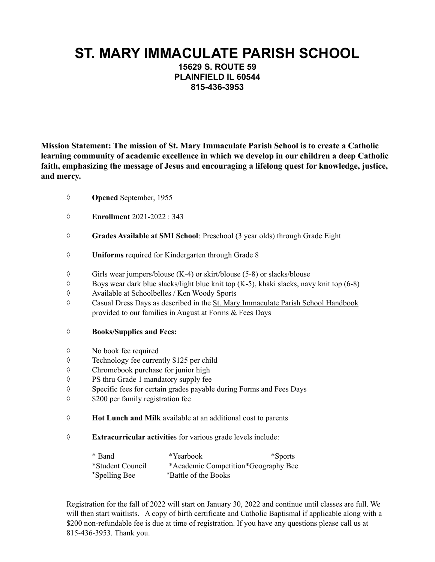## **ST. MARY IMMACULATE PARISH SCHOOL**

**15629 S. ROUTE 59 PLAINFIELD IL 60544 815-436-3953**

**Mission Statement: The mission of St. Mary Immaculate Parish School is to create a Catholic learning community of academic excellence in which we develop in our children a deep Catholic faith, emphasizing the message of Jesus and encouraging a lifelong quest for knowledge, justice, and mercy.**

- ◊ **Opened** September, 1955
- ◊ **Enrollment** 2021-2022 : 343
- ◊ **Grades Available at SMI School**: Preschool (3 year olds) through Grade Eight
- ◊ **Uniforms** required for Kindergarten through Grade 8
- $\Diamond$  Girls wear jumpers/blouse (K-4) or skirt/blouse (5-8) or slacks/blouse
- ◊ Boys wear dark blue slacks/light blue knit top (K-5), khaki slacks, navy knit top (6-8)
- ◊ Available at Schoolbelles / Ken Woody Sports
- ◊ Casual Dress Days as described in the St. Mary Immaculate Parish School Handbook provided to our families in August at Forms & Fees Days

## ◊ **Books/Supplies and Fees:**

- ◊ No book fee required
- ◊ Technology fee currently \$125 per child
- ◊ Chromebook purchase for junior high
- ◊ PS thru Grade 1 mandatory supply fee
- ◊ Specific fees for certain grades payable during Forms and Fees Days
- ◊ \$200 per family registration fee
- ◊ **Hot Lunch and Milk** available at an additional cost to parents
- ◊ **Extracurricular activitie**s for various grade levels include:

| * Band           | *Yearbook                           | *Sports |
|------------------|-------------------------------------|---------|
| *Student Council | *Academic Competition*Geography Bee |         |
| *Spelling Bee    | *Battle of the Books                |         |

Registration for the fall of 2022 will start on January 30, 2022 and continue until classes are full. We will then start waitlists. A copy of birth certificate and Catholic Baptismal if applicable along with a \$200 non-refundable fee is due at time of registration. If you have any questions please call us at 815-436-3953. Thank you.